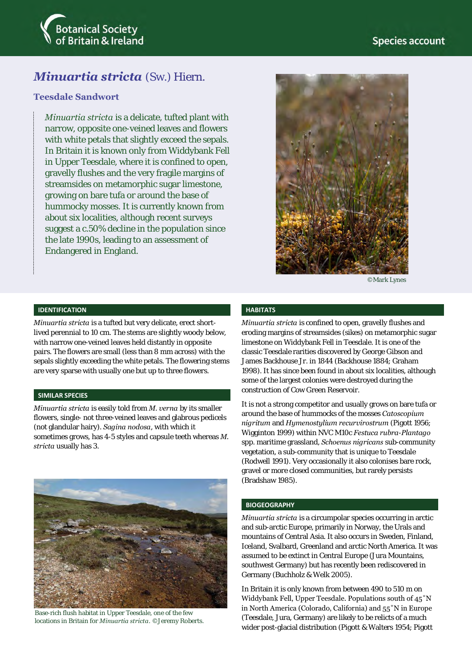

# *Minuartia stricta* (Sw.) Hiern.

## **Teesdale Sandwort**

*Minuartia stricta* is a delicate, tufted plant with narrow, opposite one-veined leaves and flowers with white petals that slightly exceed the sepals. In Britain it is known only from Widdybank Fell in Upper Teesdale, where it is confined to open, gravelly flushes and the very fragile margins of streamsides on metamorphic sugar limestone, growing on bare tufa or around the base of hummocky mosses. It is currently known from about six localities, although recent surveys suggest a c.50% decline in the population since the late 1990s, leading to an assessment of Endangered in England.



©Mark Lynes

#### **IDENTIFICATION**

*Minuartia stricta* is a tufted but very delicate, erect shortlived perennial to 10 cm. The stems are slightly woody below, with narrow one-veined leaves held distantly in opposite pairs. The flowers are small (less than 8 mm across) with the sepals slightly exceeding the white petals. The flowering stems are very sparse with usually one but up to three flowers.

#### **SIMILAR SPECIES**

*Minuartia stricta* is easily told from *M. verna* by its smaller flowers, single- not three-veined leaves and glabrous pedicels (not glandular hairy). *Sagina nodosa*, with which it sometimes grows, has 4-5 styles and capsule teeth whereas *M. stricta* usually has 3.



Base-rich flush habitat in Upper Teesdale, one of the few locations in Britain for *Minuartia stricta*. ©Jeremy Roberts.

#### **HABITATS**

*Minuartia stricta* is confined to open, gravelly flushes and eroding margins of streamsides (sikes) on metamorphic sugar limestone on Widdybank Fell in Teesdale. It is one of the classic Teesdale rarities discovered by George Gibson and James Backhouse Jr. in 1844 (Backhouse 1884; Graham 1998). It has since been found in about six localities, although some of the largest colonies were destroyed during the construction of Cow Green Reservoir.

It is not a strong competitor and usually grows on bare tufa or around the base of hummocks of the mosses *Catoscopium nigritum* and *Hymenostylium recurvirostrum* (Pigott 1956; Wigginton 1999) within NVC M10c *Festuca rubra*-*Plantago*  spp. maritime grassland, *Schoenus nigricans* sub-community vegetation, a sub-community that is unique to Teesdale (Rodwell 1991). Very occasionally it also colonises bare rock, gravel or more closed communities, but rarely persists (Bradshaw 1985).

#### **BIOGEOGRAPHY**

*Minuartia stricta* is a circumpolar species occurring in arctic and sub-arctic Europe, primarily in Norway, the Urals and mountains of Central Asia. It also occurs in Sweden, Finland, Iceland, Svalbard, Greenland and arctic North America. It was assumed to be extinct in Central Europe (Jura Mountains, southwest Germany) but has recently been rediscovered in Germany (Buchholz & Welk 2005).

In Britain it is only known from between 490 to 510 m on Widdybank Fell, Upper Teesdale. Populations south of 45˚N in North America (Colorado, California) and 55˚N in Europe (Teesdale, Jura, Germany) are likely to be relicts of a much wider post-glacial distribution (Pigott & Walters 1954; Pigott